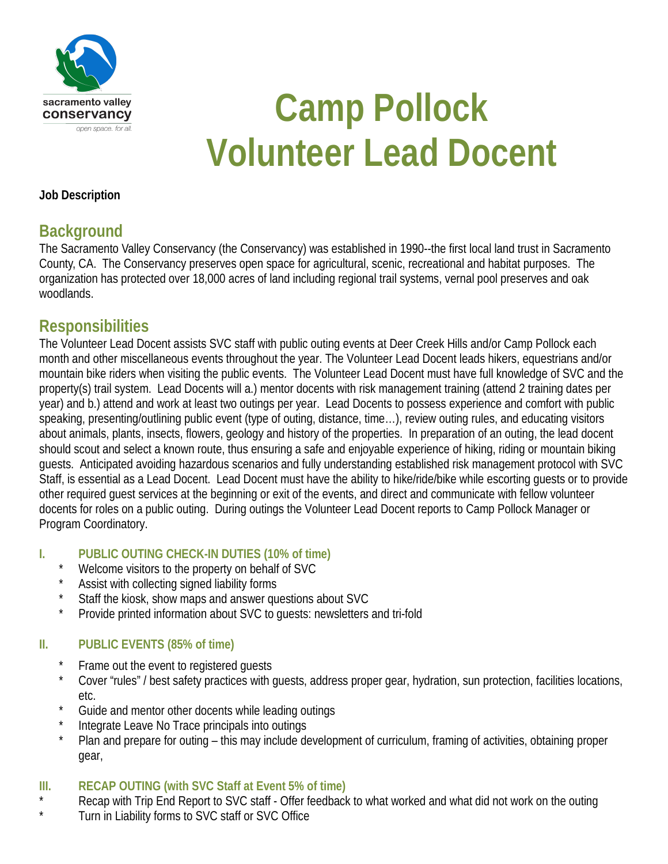

# **Camp Pollock Volunteer Lead Docent**

#### **Job Description**

### **Background**

The Sacramento Valley Conservancy (the Conservancy) was established in 1990--the first local land trust in Sacramento County, CA. The Conservancy preserves open space for agricultural, scenic, recreational and habitat purposes. The organization has protected over 18,000 acres of land including regional trail systems, vernal pool preserves and oak woodlands.

# **Responsibilities**

The Volunteer Lead Docent assists SVC staff with public outing events at Deer Creek Hills and/or Camp Pollock each month and other miscellaneous events throughout the year. The Volunteer Lead Docent leads hikers, equestrians and/or mountain bike riders when visiting the public events. The Volunteer Lead Docent must have full knowledge of SVC and the property(s) trail system. Lead Docents will a.) mentor docents with risk management training (attend 2 training dates per year) and b.) attend and work at least two outings per year. Lead Docents to possess experience and comfort with public speaking, presenting/outlining public event (type of outing, distance, time…), review outing rules, and educating visitors about animals, plants, insects, flowers, geology and history of the properties. In preparation of an outing, the lead docent should scout and select a known route, thus ensuring a safe and enjoyable experience of hiking, riding or mountain biking guests. Anticipated avoiding hazardous scenarios and fully understanding established risk management protocol with SVC Staff, is essential as a Lead Docent. Lead Docent must have the ability to hike/ride/bike while escorting guests or to provide other required guest services at the beginning or exit of the events, and direct and communicate with fellow volunteer docents for roles on a public outing. During outings the Volunteer Lead Docent reports to Camp Pollock Manager or Program Coordinatory.

#### **I. PUBLIC OUTING CHECK-IN DUTIES (10% of time)**

- Welcome visitors to the property on behalf of SVC
- Assist with collecting signed liability forms
- Staff the kiosk, show maps and answer questions about SVC
- Provide printed information about SVC to quests: newsletters and tri-fold

#### **II. PUBLIC EVENTS (85% of time)**

- Frame out the event to registered guests
- Cover "rules" / best safety practices with quests, address proper gear, hydration, sun protection, facilities locations, etc.
- Guide and mentor other docents while leading outings
- Integrate Leave No Trace principals into outings
- Plan and prepare for outing this may include development of curriculum, framing of activities, obtaining proper gear,

#### **III. RECAP OUTING (with SVC Staff at Event 5% of time)**

- \* Recap with Trip End Report to SVC staff Offer feedback to what worked and what did not work on the outing <br>Time in Liphility forms to SVC staff or SVC Office
- Turn in Liability forms to SVC staff or SVC Office